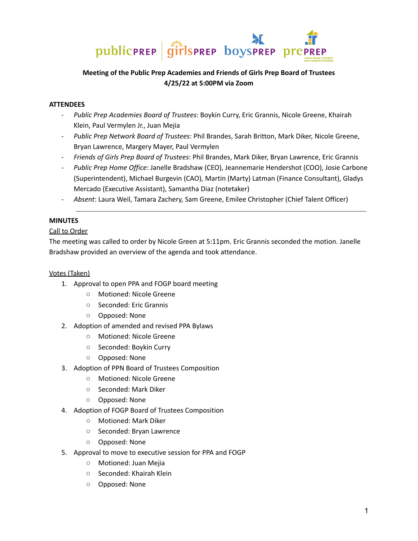

# **Meeting of the Public Prep Academies and Friends of Girls Prep Board of Trustees 4/25/22 at 5:00PM via Zoom**

## **ATTENDEES**

- *Public Prep Academies Board of Trustees*: Boykin Curry, Eric Grannis, Nicole Greene, Khairah Klein, Paul Vermylen Jr., Juan Mejia
- *Public Prep Network Board of Trustees*: Phil Brandes, Sarah Britton, Mark Diker, Nicole Greene, Bryan Lawrence, Margery Mayer, Paul Vermylen
- *Friends of Girls Prep Board of Trustees*: Phil Brandes, Mark Diker, Bryan Lawrence, Eric Grannis
- *Public Prep Home Office*: Janelle Bradshaw (CEO), Jeannemarie Hendershot (COO), Josie Carbone (Superintendent), Michael Burgevin (CAO), Martin (Marty) Latman (Finance Consultant), Gladys Mercado (Executive Assistant), Samantha Diaz (notetaker)
- *Absent*: Laura Weil, Tamara Zachery, Sam Greene, Emilee Christopher (Chief Talent Officer)

# **MINUTES**

# Call to Order

The meeting was called to order by Nicole Green at 5:11pm. Eric Grannis seconded the motion. Janelle Bradshaw provided an overview of the agenda and took attendance.

#### Votes (Taken)

- 1. Approval to open PPA and FOGP board meeting
	- Motioned: Nicole Greene
	- Seconded: Eric Grannis
	- Opposed: None
- 2. Adoption of amended and revised PPA Bylaws
	- Motioned: Nicole Greene
	- Seconded: Boykin Curry
	- Opposed: None
- 3. Adoption of PPN Board of Trustees Composition
	- Motioned: Nicole Greene
	- Seconded: Mark Diker
	- Opposed: None
- 4. Adoption of FOGP Board of Trustees Composition
	- Motioned: Mark Diker
	- Seconded: Bryan Lawrence
	- Opposed: None
- 5. Approval to move to executive session for PPA and FOGP
	- Motioned: Juan Mejia
	- Seconded: Khairah Klein
	- Opposed: None